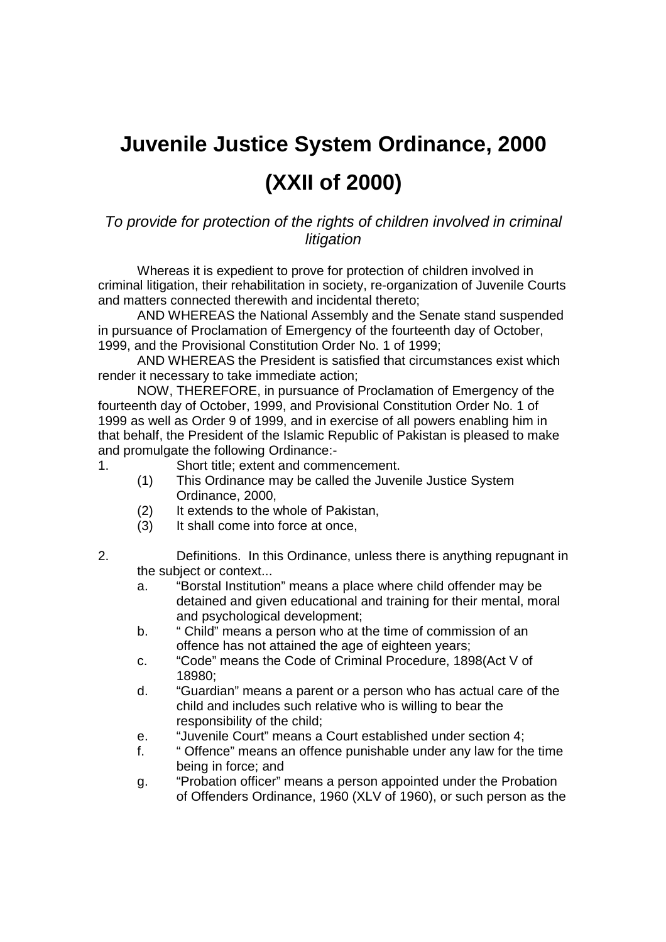## **Juvenile Justice System Ordinance, 2000 (XXII of 2000)**

## To provide for protection of the rights of children involved in criminal litigation

Whereas it is expedient to prove for protection of children involved in criminal litigation, their rehabilitation in society, re-organization of Juvenile Courts and matters connected therewith and incidental thereto;

AND WHEREAS the National Assembly and the Senate stand suspended in pursuance of Proclamation of Emergency of the fourteenth day of October, 1999, and the Provisional Constitution Order No. 1 of 1999;

AND WHEREAS the President is satisfied that circumstances exist which render it necessary to take immediate action;

NOW, THEREFORE, in pursuance of Proclamation of Emergency of the fourteenth day of October, 1999, and Provisional Constitution Order No. 1 of 1999 as well as Order 9 of 1999, and in exercise of all powers enabling him in that behalf, the President of the Islamic Republic of Pakistan is pleased to make and promulgate the following Ordinance:-

- 1. Short title; extent and commencement.
	- (1) This Ordinance may be called the Juvenile Justice System Ordinance, 2000,
	- (2) It extends to the whole of Pakistan,
	- (3) It shall come into force at once,
- 2. Definitions. In this Ordinance, unless there is anything repugnant in the subject or context...
	- a. "Borstal Institution" means a place where child offender may be detained and given educational and training for their mental, moral and psychological development;
	- b. " Child" means a person who at the time of commission of an offence has not attained the age of eighteen years;
	- c. "Code" means the Code of Criminal Procedure, 1898(Act V of 18980;
	- d. "Guardian" means a parent or a person who has actual care of the child and includes such relative who is willing to bear the responsibility of the child;
	- e. "Juvenile Court" means a Court established under section 4;
	- f. " Offence" means an offence punishable under any law for the time being in force; and
	- g. "Probation officer" means a person appointed under the Probation of Offenders Ordinance, 1960 (XLV of 1960), or such person as the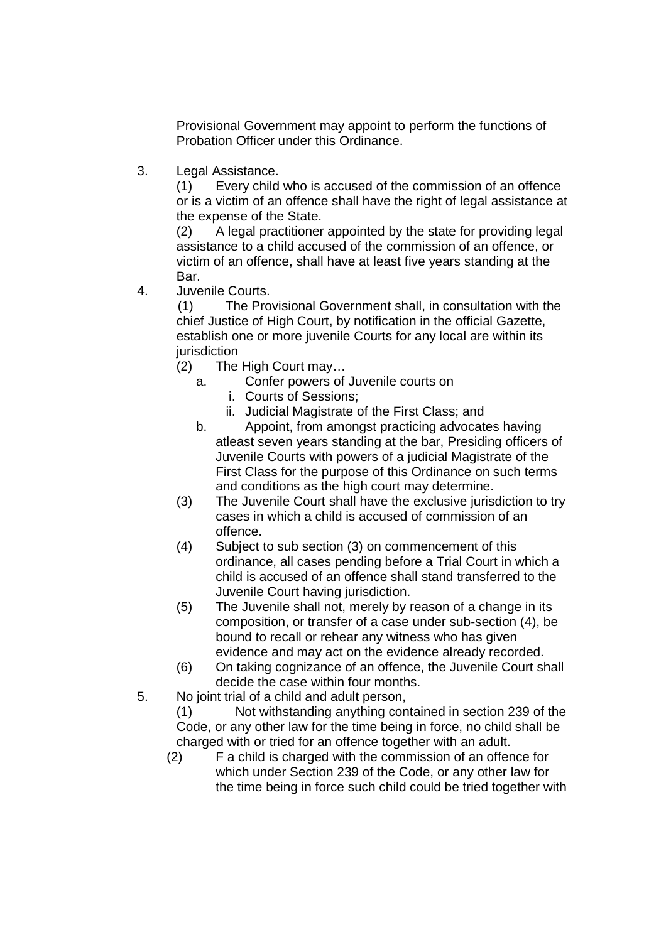Provisional Government may appoint to perform the functions of Probation Officer under this Ordinance.

3. Legal Assistance.

(1) Every child who is accused of the commission of an offence or is a victim of an offence shall have the right of legal assistance at the expense of the State.

(2) A legal practitioner appointed by the state for providing legal assistance to a child accused of the commission of an offence, or victim of an offence, shall have at least five years standing at the Bar.

4. Juvenile Courts.

 (1) The Provisional Government shall, in consultation with the chief Justice of High Court, by notification in the official Gazette, establish one or more juvenile Courts for any local are within its iurisdiction

- (2) The High Court may…
	- a. Confer powers of Juvenile courts on
		- i. Courts of Sessions;
		- ii. Judicial Magistrate of the First Class; and
	- b. Appoint, from amongst practicing advocates having atleast seven years standing at the bar, Presiding officers of Juvenile Courts with powers of a judicial Magistrate of the First Class for the purpose of this Ordinance on such terms and conditions as the high court may determine.
- (3) The Juvenile Court shall have the exclusive jurisdiction to try cases in which a child is accused of commission of an offence.
- (4) Subject to sub section (3) on commencement of this ordinance, all cases pending before a Trial Court in which a child is accused of an offence shall stand transferred to the Juvenile Court having jurisdiction.
- (5) The Juvenile shall not, merely by reason of a change in its composition, or transfer of a case under sub-section (4), be bound to recall or rehear any witness who has given evidence and may act on the evidence already recorded.
- (6) On taking cognizance of an offence, the Juvenile Court shall decide the case within four months.
- 5. No joint trial of a child and adult person,

(1) Not withstanding anything contained in section 239 of the Code, or any other law for the time being in force, no child shall be charged with or tried for an offence together with an adult.

(2) F a child is charged with the commission of an offence for which under Section 239 of the Code, or any other law for the time being in force such child could be tried together with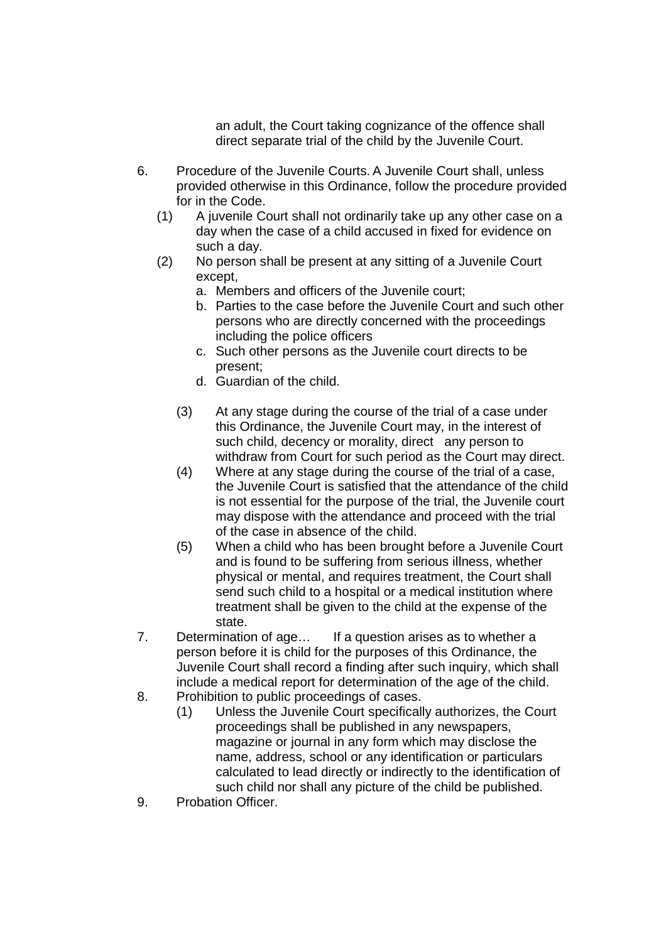an adult, the Court taking cognizance of the offence shall direct separate trial of the child by the Juvenile Court.

- 6. Procedure of the Juvenile Courts. A Juvenile Court shall, unless provided otherwise in this Ordinance, follow the procedure provided for in the Code.
	- (1) A juvenile Court shall not ordinarily take up any other case on a day when the case of a child accused in fixed for evidence on such a day.
	- (2) No person shall be present at any sitting of a Juvenile Court except,
		- a. Members and officers of the Juvenile court;
		- b. Parties to the case before the Juvenile Court and such other persons who are directly concerned with the proceedings including the police officers
		- c. Such other persons as the Juvenile court directs to be present;
		- d. Guardian of the child.
		- (3) At any stage during the course of the trial of a case under this Ordinance, the Juvenile Court may, in the interest of such child, decency or morality, direct any person to withdraw from Court for such period as the Court may direct.
		- (4) Where at any stage during the course of the trial of a case, the Juvenile Court is satisfied that the attendance of the child is not essential for the purpose of the trial, the Juvenile court may dispose with the attendance and proceed with the trial of the case in absence of the child.
		- (5) When a child who has been brought before a Juvenile Court and is found to be suffering from serious illness, whether physical or mental, and requires treatment, the Court shall send such child to a hospital or a medical institution where treatment shall be given to the child at the expense of the state.
- 7. Determination of age… If a question arises as to whether a person before it is child for the purposes of this Ordinance, the Juvenile Court shall record a finding after such inquiry, which shall include a medical report for determination of the age of the child.
- 8. Prohibition to public proceedings of cases.
	- (1) Unless the Juvenile Court specifically authorizes, the Court proceedings shall be published in any newspapers, magazine or journal in any form which may disclose the name, address, school or any identification or particulars calculated to lead directly or indirectly to the identification of such child nor shall any picture of the child be published.
- 9. Probation Officer.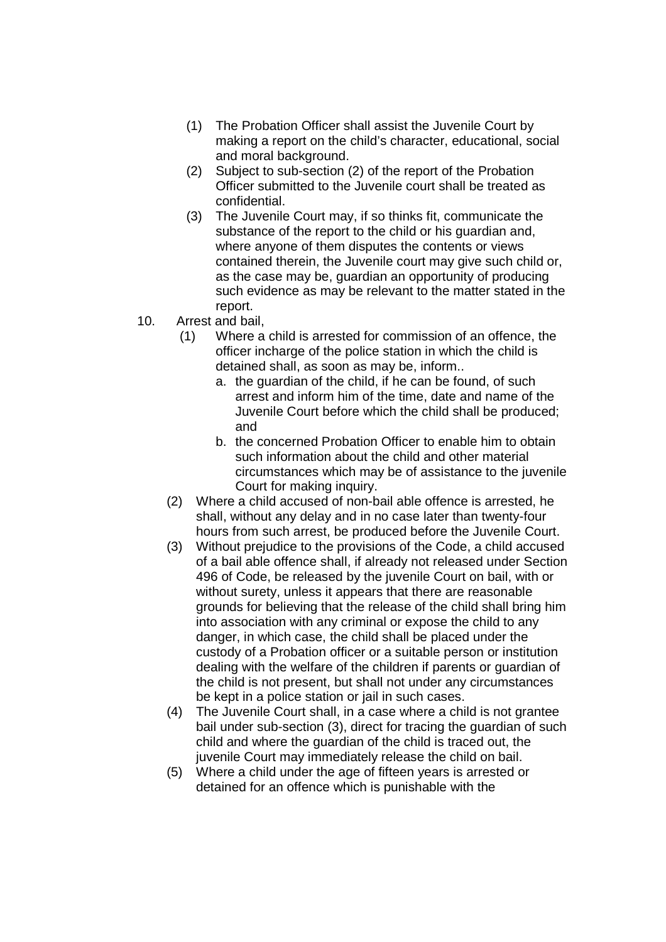- (1) The Probation Officer shall assist the Juvenile Court by making a report on the child's character, educational, social and moral background.
- (2) Subject to sub-section (2) of the report of the Probation Officer submitted to the Juvenile court shall be treated as confidential.
- (3) The Juvenile Court may, if so thinks fit, communicate the substance of the report to the child or his guardian and, where anyone of them disputes the contents or views contained therein, the Juvenile court may give such child or, as the case may be, guardian an opportunity of producing such evidence as may be relevant to the matter stated in the report.
- 10. Arrest and bail,
	- (1) Where a child is arrested for commission of an offence, the officer incharge of the police station in which the child is detained shall, as soon as may be, inform..
		- a. the guardian of the child, if he can be found, of such arrest and inform him of the time, date and name of the Juvenile Court before which the child shall be produced; and
		- b. the concerned Probation Officer to enable him to obtain such information about the child and other material circumstances which may be of assistance to the juvenile Court for making inquiry.
	- (2) Where a child accused of non-bail able offence is arrested, he shall, without any delay and in no case later than twenty-four hours from such arrest, be produced before the Juvenile Court.
	- (3) Without prejudice to the provisions of the Code, a child accused of a bail able offence shall, if already not released under Section 496 of Code, be released by the juvenile Court on bail, with or without surety, unless it appears that there are reasonable grounds for believing that the release of the child shall bring him into association with any criminal or expose the child to any danger, in which case, the child shall be placed under the custody of a Probation officer or a suitable person or institution dealing with the welfare of the children if parents or guardian of the child is not present, but shall not under any circumstances be kept in a police station or jail in such cases.
	- (4) The Juvenile Court shall, in a case where a child is not grantee bail under sub-section (3), direct for tracing the guardian of such child and where the guardian of the child is traced out, the juvenile Court may immediately release the child on bail.
	- (5) Where a child under the age of fifteen years is arrested or detained for an offence which is punishable with the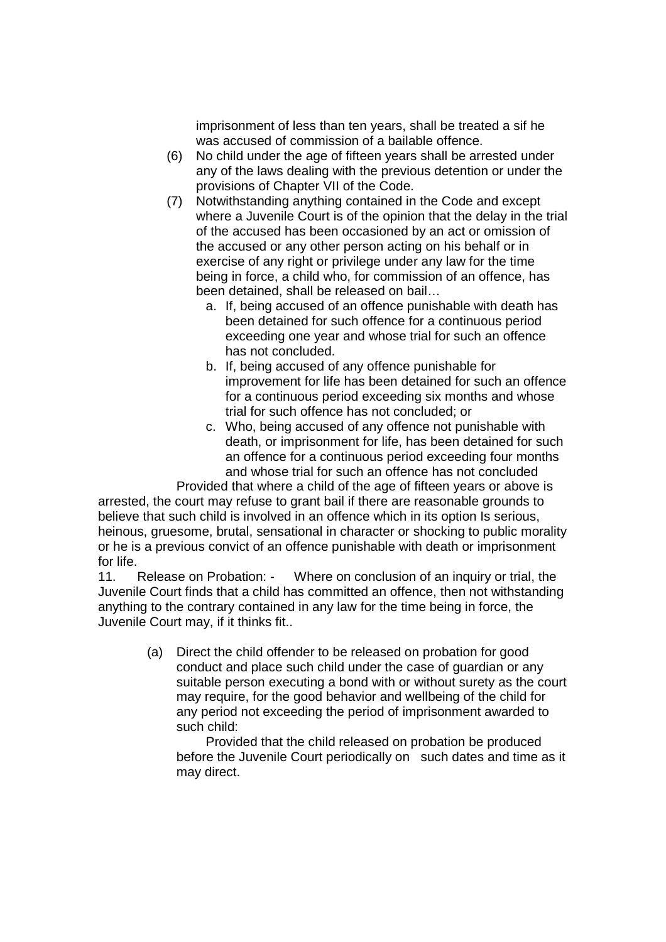imprisonment of less than ten years, shall be treated a sif he was accused of commission of a bailable offence.

- (6) No child under the age of fifteen years shall be arrested under any of the laws dealing with the previous detention or under the provisions of Chapter VII of the Code.
- (7) Notwithstanding anything contained in the Code and except where a Juvenile Court is of the opinion that the delay in the trial of the accused has been occasioned by an act or omission of the accused or any other person acting on his behalf or in exercise of any right or privilege under any law for the time being in force, a child who, for commission of an offence, has been detained, shall be released on bail…
	- a. If, being accused of an offence punishable with death has been detained for such offence for a continuous period exceeding one year and whose trial for such an offence has not concluded.
	- b. If, being accused of any offence punishable for improvement for life has been detained for such an offence for a continuous period exceeding six months and whose trial for such offence has not concluded; or
	- c. Who, being accused of any offence not punishable with death, or imprisonment for life, has been detained for such an offence for a continuous period exceeding four months and whose trial for such an offence has not concluded

 Provided that where a child of the age of fifteen years or above is arrested, the court may refuse to grant bail if there are reasonable grounds to believe that such child is involved in an offence which in its option Is serious, heinous, gruesome, brutal, sensational in character or shocking to public morality or he is a previous convict of an offence punishable with death or imprisonment for life.

11. Release on Probation: - Where on conclusion of an inquiry or trial, the Juvenile Court finds that a child has committed an offence, then not withstanding anything to the contrary contained in any law for the time being in force, the Juvenile Court may, if it thinks fit..

> (a) Direct the child offender to be released on probation for good conduct and place such child under the case of guardian or any suitable person executing a bond with or without surety as the court may require, for the good behavior and wellbeing of the child for any period not exceeding the period of imprisonment awarded to such child:

Provided that the child released on probation be produced before the Juvenile Court periodically on such dates and time as it may direct.